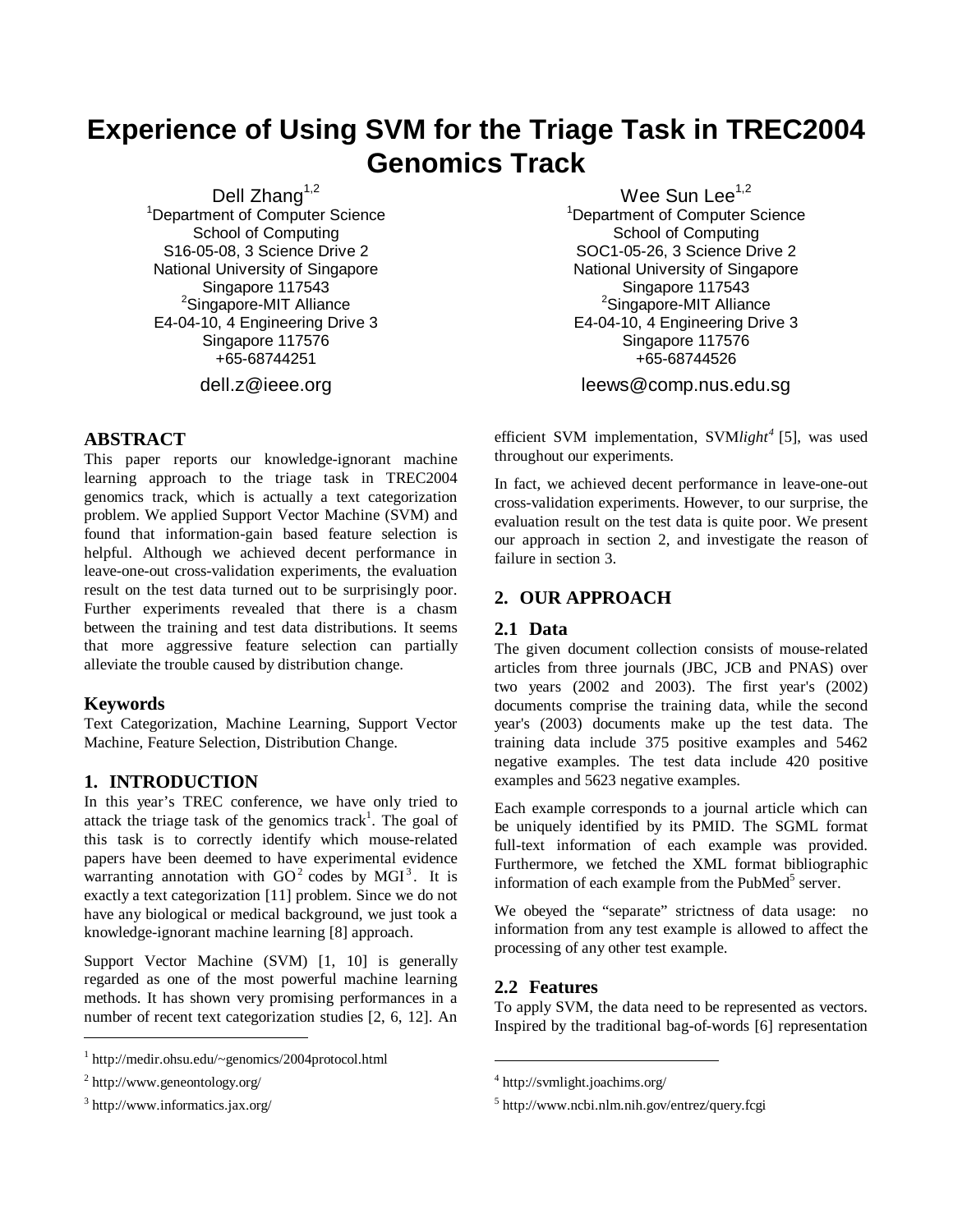# **Experience of Using SVM for the Triage Task in TREC2004 Genomics Track**

Dell Zhang $1,2$ <sup>1</sup>Department of Computer Science School of Computing S16-05-08, 3 Science Drive 2 National University of Singapore Singapore 117543 Singapore-MIT Alliance E4-04-10, 4 Engineering Drive 3 Singapore 117576 +65-68744251

dell.z@ieee.org

# **ABSTRACT**

This paper reports our knowledge-ignorant machine learning approach to the triage task in TREC2004 genomics track, which is actually a text categorization problem. We applied Support Vector Machine (SVM) and found that information-gain based feature selection is helpful. Although we achieved decent performance in leave-one-out cross-validation experiments, the evaluation result on the test data turned out to be surprisingly poor. Further experiments revealed that there is a chasm between the training and test data distributions. It seems that more aggressive feature selection can partially alleviate the trouble caused by distribution change.

## **Keywords**

Text Categorization, Machine Learning, Support Vector Machine, Feature Selection, Distribution Change.

# **1. INTRODUCTION**

In this year's TREC conference, we have only tried to attack the triage task of the genomics track<sup>1</sup>. The goal of this task is to correctly identify which mouse-related papers have been deemed to have experimental evidence warranting annotation with  $GO<sup>2</sup>$  codes by MGI<sup>3</sup>. It is exactly a text categorization [11] problem. Since we do not have any biological or medical background, we just took a knowledge-ignorant machine learning [8] approach.

Support Vector Machine (SVM) [1, 10] is generally regarded as one of the most powerful machine learning methods. It has shown very promising performances in a number of recent text categorization studies [2, 6, 12]. An

 $\overline{a}$ 

Wee Sun Lee<sup>1,2</sup> <sup>1</sup>Department of Computer Science School of Computing SOC1-05-26, 3 Science Drive 2 National University of Singapore Singapore 117543 Singapore-MIT Alliance E4-04-10, 4 Engineering Drive 3 Singapore 117576 +65-68744526

leews@comp.nus.edu.sg

efficient SVM implementation, SVM*light<sup>4</sup>* [5], was used throughout our experiments.

In fact, we achieved decent performance in leave-one-out cross-validation experiments. However, to our surprise, the evaluation result on the test data is quite poor. We present our approach in section 2, and investigate the reason of failure in section 3.

# **2. OUR APPROACH**

#### **2.1 Data**

The given document collection consists of mouse-related articles from three journals (JBC, JCB and PNAS) over two years (2002 and 2003). The first year's (2002) documents comprise the training data, while the second year's (2003) documents make up the test data. The training data include 375 positive examples and 5462 negative examples. The test data include 420 positive examples and 5623 negative examples.

Each example corresponds to a journal article which can be uniquely identified by its PMID. The SGML format full-text information of each example was provided. Furthermore, we fetched the XML format bibliographic information of each example from the PubMed<sup>5</sup> server.

We obeyed the "separate" strictness of data usage: no information from any test example is allowed to affect the processing of any other test example.

#### **2.2 Features**

j

To apply SVM, the data need to be represented as vectors. Inspired by the traditional bag-of-words [6] representation

<sup>1</sup> http://medir.ohsu.edu/~genomics/2004protocol.html

<sup>&</sup>lt;sup>2</sup> http://www.geneontology.org/

<sup>3</sup> http://www.informatics.jax.org/

<sup>4</sup> http://svmlight.joachims.org/

<sup>5</sup> http://www.ncbi.nlm.nih.gov/entrez/query.fcgi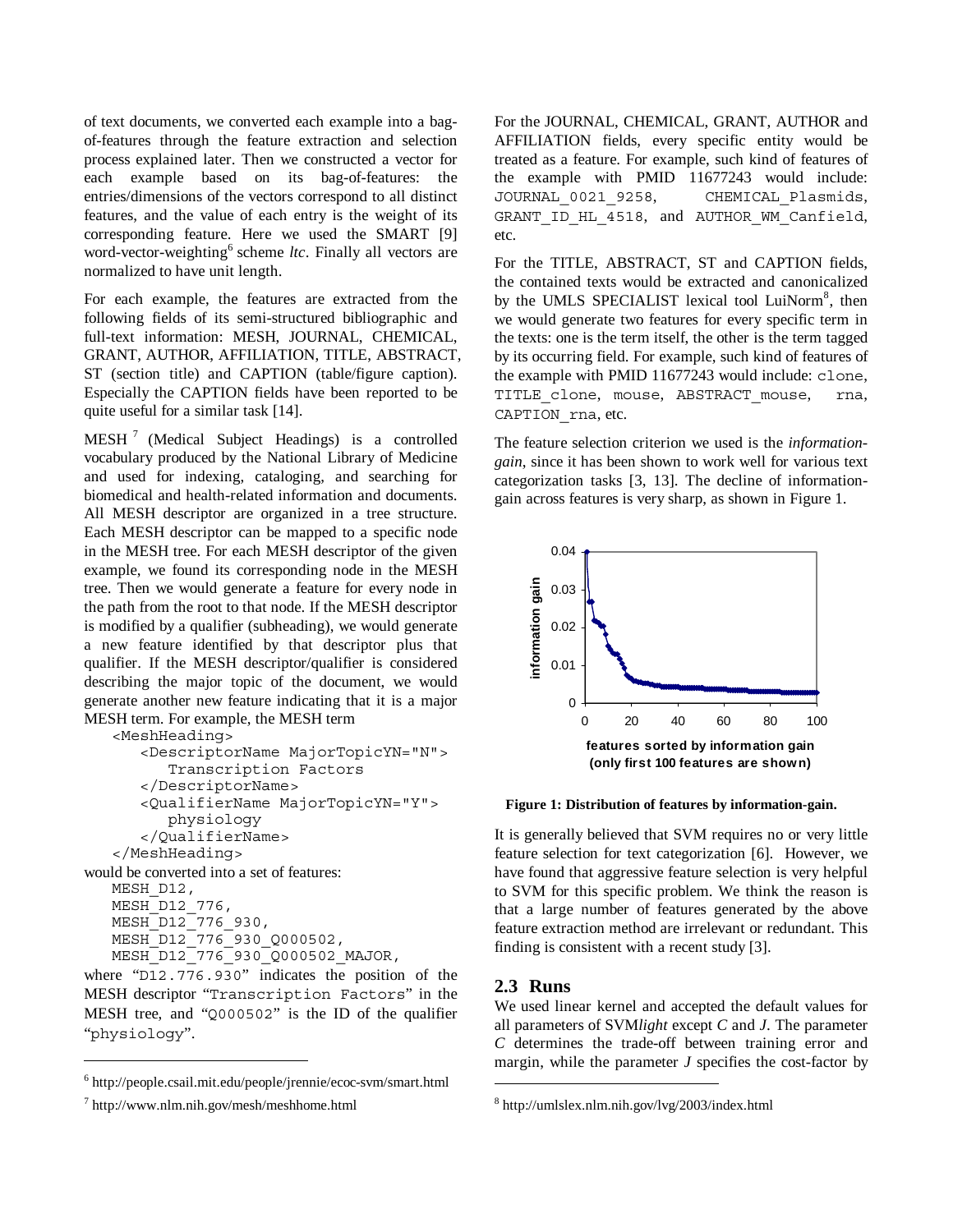of text documents, we converted each example into a bagof-features through the feature extraction and selection process explained later. Then we constructed a vector for each example based on its bag-of-features: the entries/dimensions of the vectors correspond to all distinct features, and the value of each entry is the weight of its corresponding feature. Here we used the SMART [9] word-vector-weighting<sup>6</sup> scheme *ltc*. Finally all vectors are normalized to have unit length.

For each example, the features are extracted from the following fields of its semi-structured bibliographic and full-text information: MESH, JOURNAL, CHEMICAL, GRANT, AUTHOR, AFFILIATION, TITLE, ABSTRACT, ST (section title) and CAPTION (table/figure caption). Especially the CAPTION fields have been reported to be quite useful for a similar task [14].

MESH<sup>7</sup> (Medical Subject Headings) is a controlled vocabulary produced by the National Library of Medicine and used for indexing, cataloging, and searching for biomedical and health-related information and documents. All MESH descriptor are organized in a tree structure. Each MESH descriptor can be mapped to a specific node in the MESH tree. For each MESH descriptor of the given example, we found its corresponding node in the MESH tree. Then we would generate a feature for every node in the path from the root to that node. If the MESH descriptor is modified by a qualifier (subheading), we would generate a new feature identified by that descriptor plus that qualifier. If the MESH descriptor/qualifier is considered describing the major topic of the document, we would generate another new feature indicating that it is a major MESH term. For example, the MESH term

```
<MeshHeading> 
       <DescriptorName MajorTopicYN="N"> 
          Transcription Factors 
       </DescriptorName> 
       <QualifierName MajorTopicYN="Y"> 
          physiology 
       </QualifierName> 
   </MeshHeading> 
would be converted into a set of features: 
   MESH_D12, 
   MESH D12 776,
   MESH_D12<sup>-776</sup> 930,
   MESH_D12_776_930_Q000502, 
   MESH_D12_776_930_Q000502_MAJOR,
```
where "D12.776.930" indicates the position of the MESH descriptor "Transcription Factors" in the MESH tree, and "Q000502" is the ID of the qualifier "physiology".

j

For the JOURNAL, CHEMICAL, GRANT, AUTHOR and AFFILIATION fields, every specific entity would be treated as a feature. For example, such kind of features of the example with PMID 11677243 would include: JOURNAL\_0021\_9258, CHEMICAL\_Plasmids, GRANT ID HL 4518, and AUTHOR WM Canfield, etc.

For the TITLE, ABSTRACT, ST and CAPTION fields, the contained texts would be extracted and canonicalized by the UMLS SPECIALIST lexical tool LuiNorm<sup>8</sup>, then we would generate two features for every specific term in the texts: one is the term itself, the other is the term tagged by its occurring field. For example, such kind of features of the example with PMID 11677243 would include: clone, TITLE\_clone, mouse, ABSTRACT\_mouse, rna, CAPTION rna, etc.

The feature selection criterion we used is the *informationgain*, since it has been shown to work well for various text categorization tasks [3, 13]. The decline of informationgain across features is very sharp, as shown in Figure 1.



**Figure 1: Distribution of features by information-gain.** 

It is generally believed that SVM requires no or very little feature selection for text categorization [6]. However, we have found that aggressive feature selection is very helpful to SVM for this specific problem. We think the reason is that a large number of features generated by the above feature extraction method are irrelevant or redundant. This finding is consistent with a recent study [3].

## **2.3 Runs**

j

We used linear kernel and accepted the default values for all parameters of SVM*light* except *C* and *J*. The parameter *C* determines the trade-off between training error and margin, while the parameter *J* specifies the cost-factor by

<sup>6</sup> http://people.csail.mit.edu/people/jrennie/ecoc-svm/smart.html

<sup>7</sup> http://www.nlm.nih.gov/mesh/meshhome.html

<sup>8</sup> http://umlslex.nlm.nih.gov/lvg/2003/index.html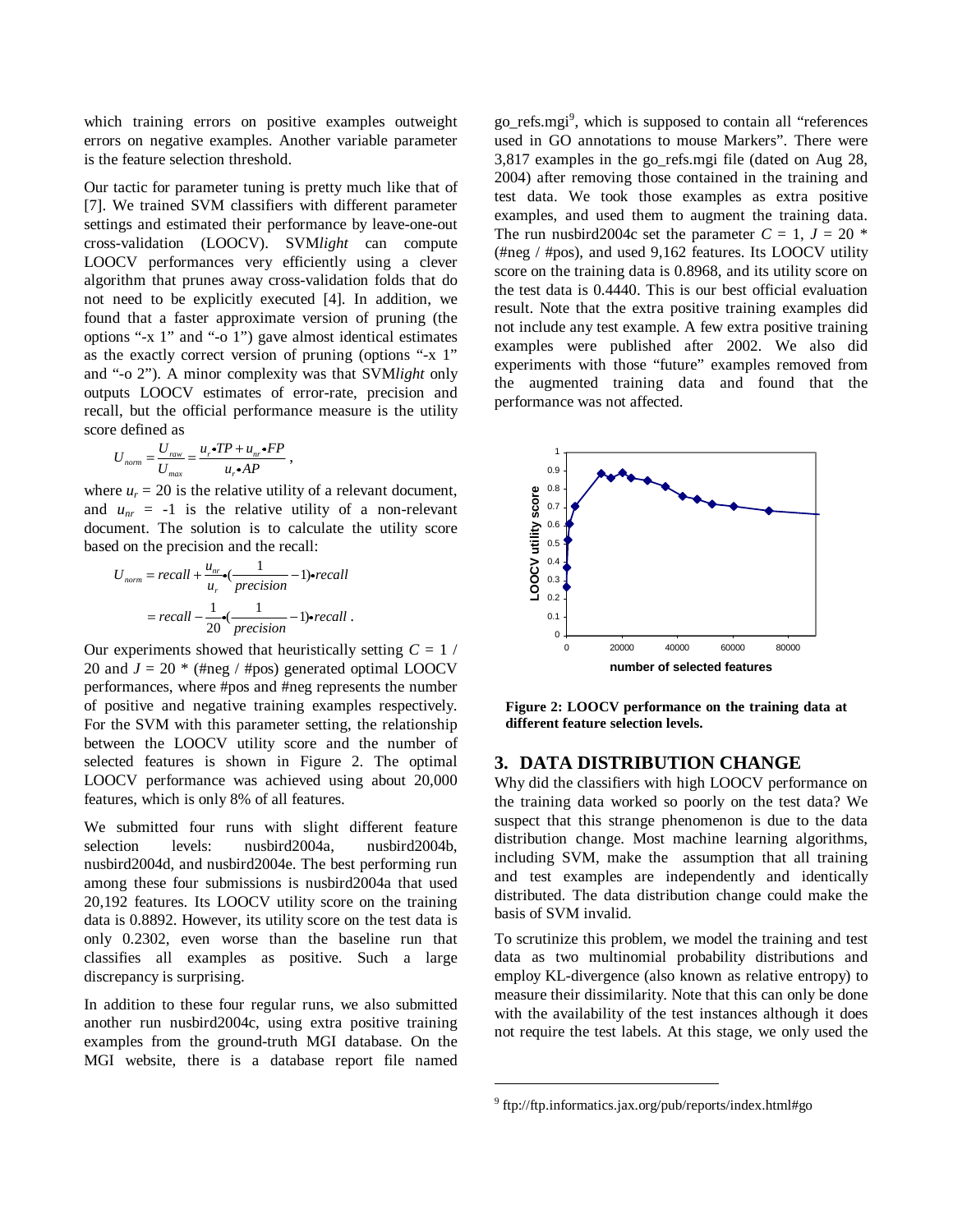which training errors on positive examples outweight errors on negative examples. Another variable parameter is the feature selection threshold.

Our tactic for parameter tuning is pretty much like that of [7]. We trained SVM classifiers with different parameter settings and estimated their performance by leave-one-out cross-validation (LOOCV). SVM*light* can compute LOOCV performances very efficiently using a clever algorithm that prunes away cross-validation folds that do not need to be explicitly executed [4]. In addition, we found that a faster approximate version of pruning (the options "-x 1" and "-o 1") gave almost identical estimates as the exactly correct version of pruning (options "-x 1" and "-o 2"). A minor complexity was that SVM*light* only outputs LOOCV estimates of error-rate, precision and recall, but the official performance measure is the utility score defined as

$$
U_{\text{norm}} = \frac{U_{\text{raw}}}{U_{\text{max}}} = \frac{u_r \cdot TP + u_{\text{nr}} \cdot FP}{u_r \cdot AP},
$$

 $U_{norm} = \frac{U_{raw}}{U_{max}} = \frac{u_r \cdot 11 + u_{nr} \cdot 11}{u_r \cdot AP}$ ,<br>where  $u_r = 20$  is the relative utility of a relevant document, and  $u_{nr} = -1$  is the relative utility of a non-relevant document. The solution is to calculate the utility score based on the precision and the recall:

$$
U_{norm} = recall + \frac{u_{nr}}{u_r} \cdot \frac{1}{precision} - 1) \cdot recall
$$

$$
= recall - \frac{1}{20} \cdot \frac{1}{precision} - 1) \cdot recall.
$$

Our experiments showed that heuristically setting  $C = 1$  / 20 and  $J = 20$  \* (#neg / #pos) generated optimal LOOCV performances, where #pos and #neg represents the number of positive and negative training examples respectively. For the SVM with this parameter setting, the relationship between the LOOCV utility score and the number of selected features is shown in Figure 2. The optimal LOOCV performance was achieved using about 20,000 features, which is only 8% of all features.

We submitted four runs with slight different feature selection levels: nusbird2004a, nusbird2004b, nusbird2004d, and nusbird2004e. The best performing run among these four submissions is nusbird2004a that used 20,192 features. Its LOOCV utility score on the training data is 0.8892. However, its utility score on the test data is only 0.2302, even worse than the baseline run that classifies all examples as positive. Such a large discrepancy is surprising.

In addition to these four regular runs, we also submitted another run nusbird2004c, using extra positive training examples from the ground-truth MGI database. On the MGI website, there is a database report file named

go\_refs.mgi<sup>9</sup>, which is supposed to contain all "references used in GO annotations to mouse Markers". There were 3,817 examples in the go\_refs.mgi file (dated on Aug 28, 2004) after removing those contained in the training and test data. We took those examples as extra positive examples, and used them to augment the training data. The run nusbird2004c set the parameter  $C = 1$ ,  $J = 20$  \* (#neg / #pos), and used 9,162 features. Its LOOCV utility score on the training data is 0.8968, and its utility score on the test data is 0.4440. This is our best official evaluation result. Note that the extra positive training examples did not include any test example. A few extra positive training examples were published after 2002. We also did experiments with those "future" examples removed from the augmented training data and found that the performance was not affected.



**Figure 2: LOOCV performance on the training data at different feature selection levels.** 

# **3. DATA DISTRIBUTION CHANGE**

Why did the classifiers with high LOOCV performance on the training data worked so poorly on the test data? We suspect that this strange phenomenon is due to the data distribution change. Most machine learning algorithms, including SVM, make the assumption that all training and test examples are independently and identically distributed. The data distribution change could make the basis of SVM invalid.

To scrutinize this problem, we model the training and test data as two multinomial probability distributions and employ KL-divergence (also known as relative entropy) to measure their dissimilarity. Note that this can only be done with the availability of the test instances although it does not require the test labels. At this stage, we only used the

j

<sup>9</sup> ftp://ftp.informatics.jax.org/pub/reports/index.html#go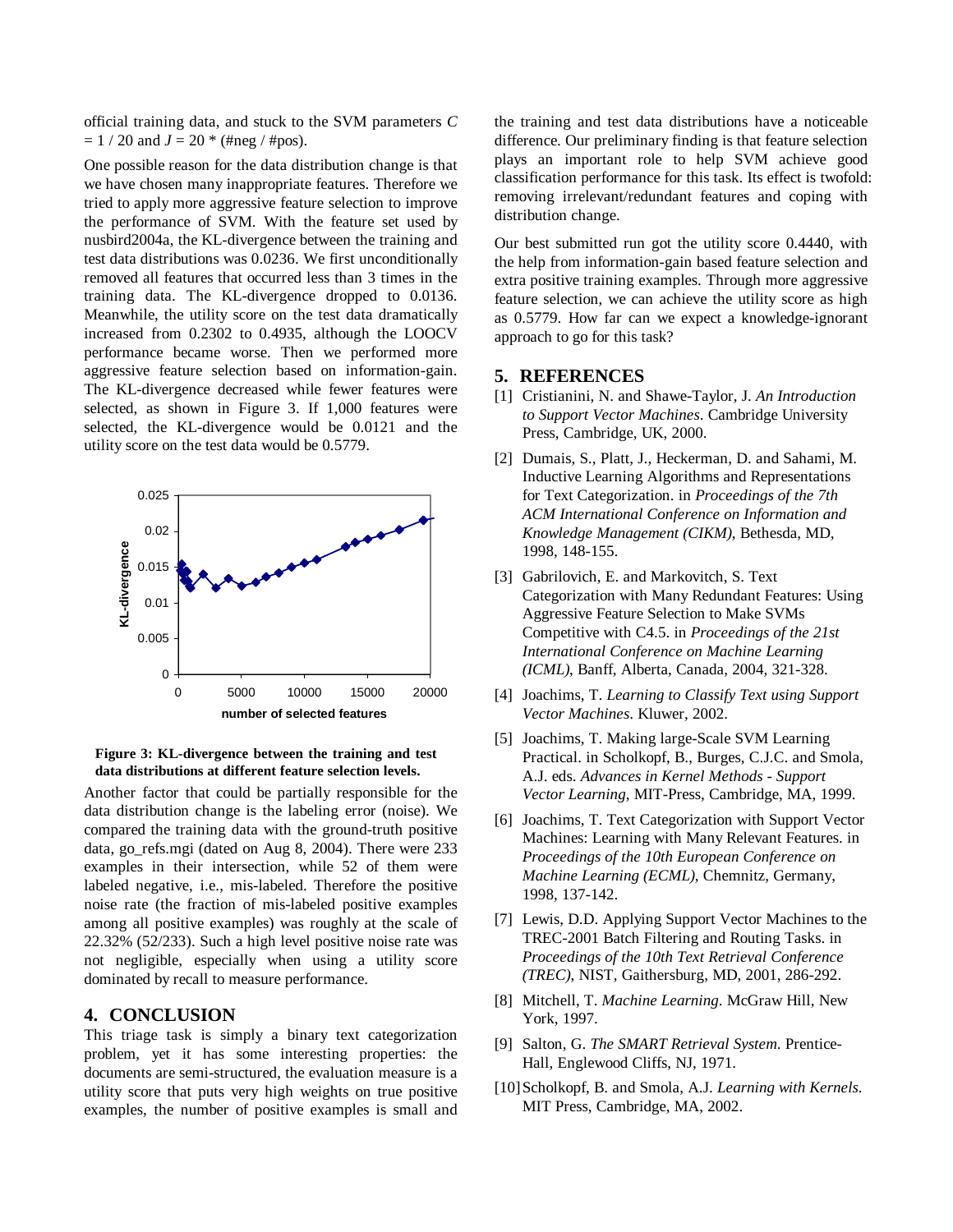official training data, and stuck to the SVM parameters *C*   $= 1 / 20$  and  $J = 20$  \* (#neg / #pos).

One possible reason for the data distribution change is that we have chosen many inappropriate features. Therefore we tried to apply more aggressive feature selection to improve the performance of SVM. With the feature set used by nusbird2004a, the KL-divergence between the training and test data distributions was 0.0236. We first unconditionally removed all features that occurred less than 3 times in the training data. The KL-divergence dropped to 0.0136. Meanwhile, the utility score on the test data dramatically increased from 0.2302 to 0.4935, although the LOOCV performance became worse. Then we performed more aggressive feature selection based on information-gain. The KL-divergence decreased while fewer features were selected, as shown in Figure 3. If 1,000 features were selected, the KL-divergence would be 0.0121 and the utility score on the test data would be 0.5779.



**Figure 3: KL-divergence between the training and test data distributions at different feature selection levels.**

Another factor that could be partially responsible for the data distribution change is the labeling error (noise). We compared the training data with the ground-truth positive data, go\_refs.mgi (dated on Aug 8, 2004). There were 233 examples in their intersection, while 52 of them were labeled negative, i.e., mis-labeled. Therefore the positive noise rate (the fraction of mis-labeled positive examples among all positive examples) was roughly at the scale of 22.32% (52/233). Such a high level positive noise rate was not negligible, especially when using a utility score dominated by recall to measure performance.

#### **4. CONCLUSION**

This triage task is simply a binary text categorization problem, yet it has some interesting properties: the documents are semi-structured, the evaluation measure is a utility score that puts very high weights on true positive examples, the number of positive examples is small and

the training and test data distributions have a noticeable difference. Our preliminary finding is that feature selection plays an important role to help SVM achieve good classification performance for this task. Its effect is twofold: removing irrelevant/redundant features and coping with distribution change.

Our best submitted run got the utility score 0.4440, with the help from information-gain based feature selection and extra positive training examples. Through more aggressive feature selection, we can achieve the utility score as high as 0.5779. How far can we expect a knowledge-ignorant approach to go for this task?

# **5. REFERENCES**

- [1] Cristianini, N. and Shawe-Taylor, J. *An Introduction to Support Vector Machines*. Cambridge University Press, Cambridge, UK, 2000.
- [2] Dumais, S., Platt, J., Heckerman, D. and Sahami, M. Inductive Learning Algorithms and Representations for Text Categorization. in *Proceedings of the 7th ACM International Conference on Information and Knowledge Management (CIKM)*, Bethesda, MD, 1998, 148-155.
- [3] Gabrilovich, E. and Markovitch, S. Text Categorization with Many Redundant Features: Using Aggressive Feature Selection to Make SVMs Competitive with C4.5. in *Proceedings of the 21st International Conference on Machine Learning (ICML)*, Banff, Alberta, Canada, 2004, 321-328.
- [4] Joachims, T. *Learning to Classify Text using Support Vector Machines*. Kluwer, 2002.
- [5] Joachims, T. Making large-Scale SVM Learning Practical. in Scholkopf, B., Burges, C.J.C. and Smola, A.J. eds. *Advances in Kernel Methods - Support Vector Learning*, MIT-Press, Cambridge, MA, 1999.
- [6] Joachims, T. Text Categorization with Support Vector Machines: Learning with Many Relevant Features. in *Proceedings of the 10th European Conference on Machine Learning (ECML)*, Chemnitz, Germany, 1998, 137-142.
- [7] Lewis, D.D. Applying Support Vector Machines to the TREC-2001 Batch Filtering and Routing Tasks. in *Proceedings of the 10th Text Retrieval Conference (TREC)*, NIST, Gaithersburg, MD, 2001, 286-292.
- [8] Mitchell, T. *Machine Learning*. McGraw Hill, New York, 1997.
- [9] Salton, G. *The SMART Retrieval System*. Prentice-Hall, Englewood Cliffs, NJ, 1971.
- [10] Scholkopf, B. and Smola, A.J. *Learning with Kernels*. MIT Press, Cambridge, MA, 2002.